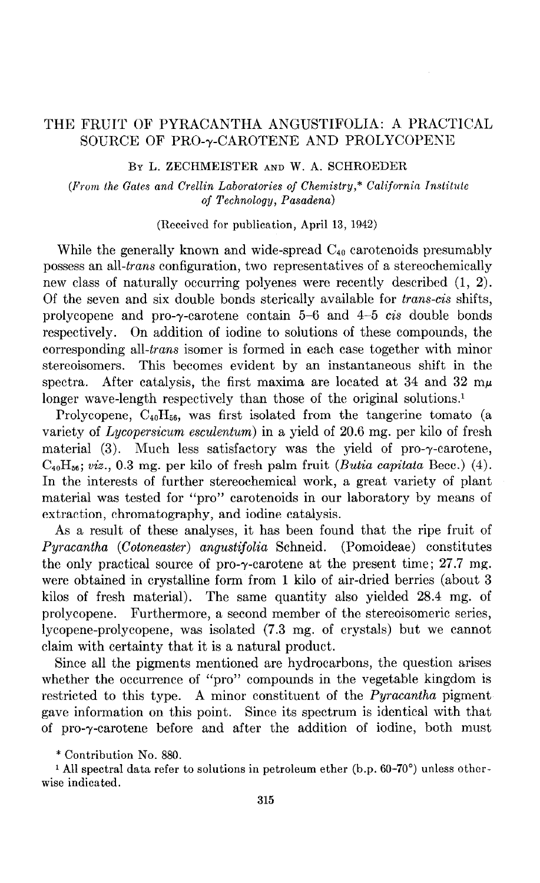## THE FRUIT OF PYRACANTHA ANGUSTIFOLIA: A PRACTICAL SOURCE OF PRO- $\gamma$ -CAROTENE AND PROLYCOPENE

BY L. ZECHMEISTER AND W. A. SCHROEDER

 $(From the Gates and Crellin Laboratories of Chemistry, * California Institute)$ oj Technology, Pasadena)

(R.eceivcd for publication, April 13, 1942)

While the generally known and wide-spread  $C_{40}$  carotenoids presumably possess an all-trans configuration, two representatives of a stereochemically new class of naturally occurring polyenes were recently described (1, 2). Of the seven and six double bonds sterically available for *trans-cis* shifts, prolycopene and pro-y-carotene contain 5-6 and 4-5 cis double bonds respectively. On addition of iodine to solutions of these compounds, the corresponding all-trans isomer is formed in each case together with minor stereoisomers. This becomes evident by an instantaneous shift in the spectra. After catalysis, the first maxima are located at 34 and 32  $m\mu$ longer wave-length respectively than those of the original solutions.<sup>1</sup>

Prolycopene,  $C_{40}H_{56}$ , was first isolated from the tangerine tomato (a variety of Lycopersicum esculentum) in a yield of 20.6 mg. per kilo of fresh material  $(3)$ . Much less satisfactory was the yield of pro- $\gamma$ -carotene,  $C_{40}H_{56}$ ; viz., 0.3 mg. per kilo of fresh palm fruit (Butia capitata Becc.) (4). In the interests of further stereochemical work, a great variety of plant material was tested for "pro" carotenoids in our laboratory by means of extraction, chromatography, and iodine catalysis.

As a result of these analyses, it has been found that the ripe fruit of Pyracantha (Cotoneaster) angustifolia Schneid. (Pomoideae) constitutes the only practical source of pro- $\gamma$ -carotene at the present time; 27.7 mg. were obtained in crystalline form from 1 kilo of air-dried berries (about 3 kilos of fresh material). The same quantity also yielded 28.4 mg. of prolycopene. Furthermore, a second member of the stereoisomeric series, lycopene-prolycopene, was isolated (7.3 mg. of crystals) but we cannot claim with certainty that it is a natural product.

Since all the pigments mentioned are hydrocarbons, the question arises whether the occurrence of "pro" compounds in the vegetable kingdom is restricted to this type. A minor constituent of the *Pyracantha* pigment gave information on this point. Since its spectrum is identical with that of pro-y-carotene before and after the addition of iodine, both must

\* Contribution No. 880.

<sup>1</sup> All spectral data refer to solutions in petroleum ether (b.p. 60-70°) unless otherwise indicated.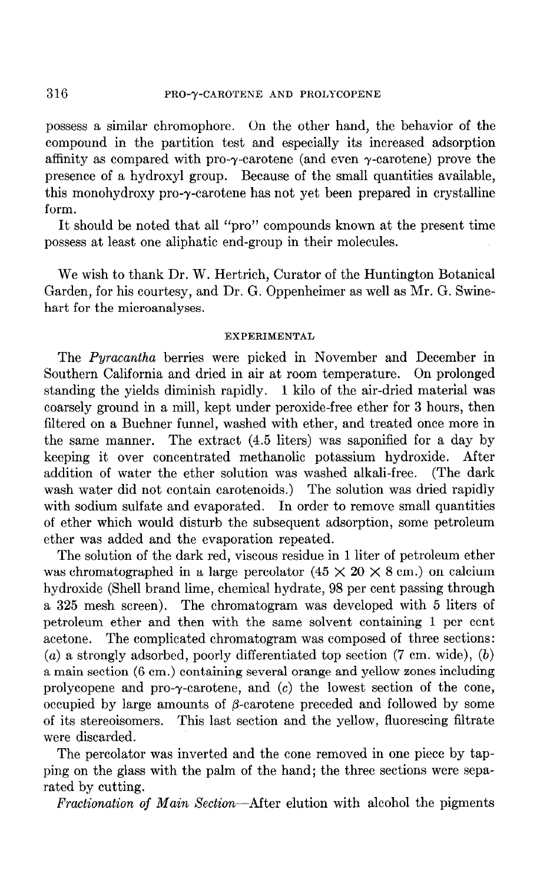possess a similar chromophore. On the other hand, the behavior of the compound in the partition test and especially its increased adsorption affinity as compared with pro- $\gamma$ -carotene (and even  $\gamma$ -carotene) prove the presence of a hydroxyl group. Because of the small quantities available, this monohydroxy pro-y-carotene has not yet been prepared in crystalline form.

It should be noted that all "pro" compounds known at the present time possess at least one aliphatic end-group in their molecules.

We wish to thank Dr. W. Hertrich, Curator of the Huntington Botanical Garden, for his courtesy, and Dr. G. Oppenheimer as well as Mr. G. Swinehart for the microanalyses.

## EXPERIMENTAL

The Pyracantha berries were picked in November and December in Southern California and dried in air at room temperature. On prolonged standing the yields diminish rapidly. 1 kilo of the air-dried material was coarsely ground in a mill, kept under peroxide-free ether for 3 hours, then filtered on a Buchner funnel, washed with ether, and treated once more in the same manner. The extract (4.5 liters) was saponified for a day by keeping it over concentrated methanolic potassium hydroxide. After addition of water the ether solution was washed alkali-free. (The dark wash water did not contain carotenoids.) The solution was dried rapidly with sodium sulfate and evaporated. In order to remove small quantities of ether which would disturb the subsequent adsorption, some petroleum ether was added and the evaporation repeated.

The solution of the dark red, viscous residue in 1 liter of petroleum ether was chromatographed in a large percolator  $(45 \times 20 \times 8 \text{ cm.})$  on calcium hydroxide (Shell brand lime, chemical hydrate, 98 per cent passing through a 325 mesh screen). The chromatogram was developed with 5 liters of petroleum ether and then with the same solvent containing 1 per cent acetone. The complicated chromatogram was composed of three sections:  $(a)$  a strongly adsorbed, poorly differentiated top section  $(7 \text{ cm. wide})$ ,  $(b)$ a main section (6 cm.) containing several orange and yellow zones including prolycopene and pro- $\gamma$ -carotene, and  $(c)$  the lowest section of the cone, occupied by large amounts of  $\beta$ -carotene preceded and followed by some of its stereoisomers. This last section and the yellow, fluorescing filtrate were discarded.

The percolator was inverted and the cone removed in one piece by tapping on the glass with the palm of the hand; the three sections were separated by cutting.

Fractionation of Main Section-After elution with alcohol the pigments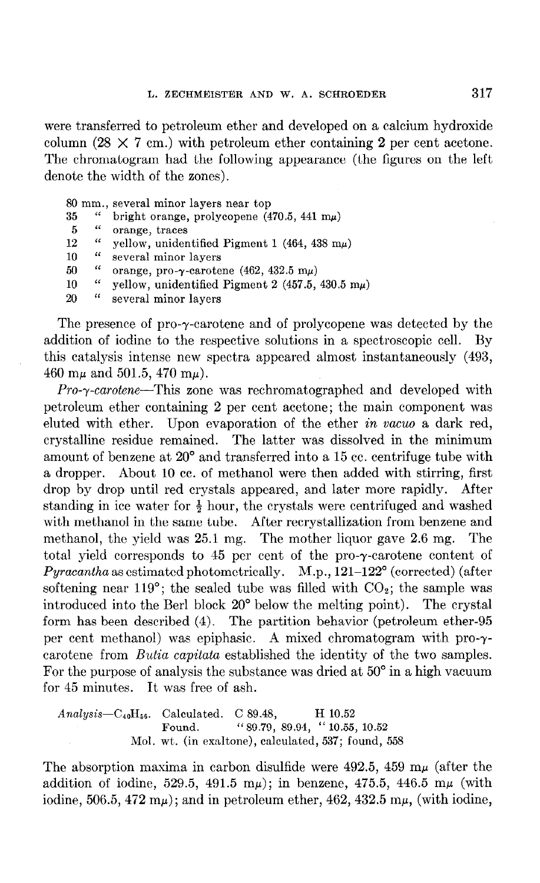were transferred to petroleum ether and developed on a calcium hydroxide column  $(28 \times 7 \text{ cm.})$  with petroleum ether containing 2 per cent acetone. The chromatogram had the following appearance (the figures on the left denote the width of the zones).

80 mm., several minor layers near top 35 " bright orange, prolycopene  $(470.5, 441 \text{ m}\mu)$ 5 " orange, traces 12 " yellow, unidentified Pigment 1 (464, 438 m $\mu$ ) 10 " several minor layers 50 " orange, pro- $\gamma$ -carotene (462, 432.5 m $\mu$ ) 10 " yellow, unidentified Pigment 2 (457.5, 430.5 m $\mu$ ) 20 " several minor layers

The presence of pro- $\gamma$ -carotene and of prolycopene was detected by the addition of iodine to the respective solutions in a spectroscopic cell. By this catalysis intense new spectra appeared almost instantaneously (493, 460 m $\mu$  and 501.5, 470 m $\mu$ ).

 $Pro- \gamma$ -carotene-This zone was rechromatographed and developed with petroleum ether containing 2 per cent acetone; the main component was eluted with ether. Upon evaporation of the ether in vacuo a dark red, crystalline residue remained. The latter was dissolved in the minimum amount of benzene at 20" and transferred into a 15 cc. centrifuge tube with a dropper. About 10 cc. of methanol were then added with stirring, first drop by drop until red crystals appeared, and later more rapidly. After standing in ice water for  $\frac{1}{2}$  hour, the crystals were centrifuged and washed with methanol in the same tube. After recrystallization from benzene and methanol, the yield was 25.1 mg. The mother liquor gave 2.6 mg. The total yield corresponds to 45 per cent of the pro-y-carotene content of  $Pyracantha$  as estimated photometrically.  $M.p., 121-122°$  (corrected) (after softening near 119 $^{\circ}$ ; the sealed tube was filled with  $CO_{2}$ ; the sample was introduced into the Berl block 20" below the melting point). The crystal form has been described (4). The partition behavior (petroleum ether-95 per cent methanol) was epiphasic. A mixed chromatogram with pro-ycarotene from Butia capitata established the identity of the two samples. For the purpose of analysis the substance was dried at  $50^{\circ}$  in a high vacuum for 45 minutes. It was free of ash.

Analysis- $C_{40}H_{56}$ . Calculated. C 89.48, H 10.52 Found. "89.79, 89.94, "10.55, 10.52 Mol. wt. (in exaltone), calculated, 537; found, 558

The absorption maxima in carbon disulfide were  $492.5$ ,  $459 \text{ m}\mu$  (after the addition of iodine, 529.5, 491.5 m $\mu$ ); in benzene, 475.5, 446.5 m $\mu$  (with iodine, 506.5, 472 m $\mu$ ); and in petroleum ether, 462, 432.5 m $\mu$ , (with iodine,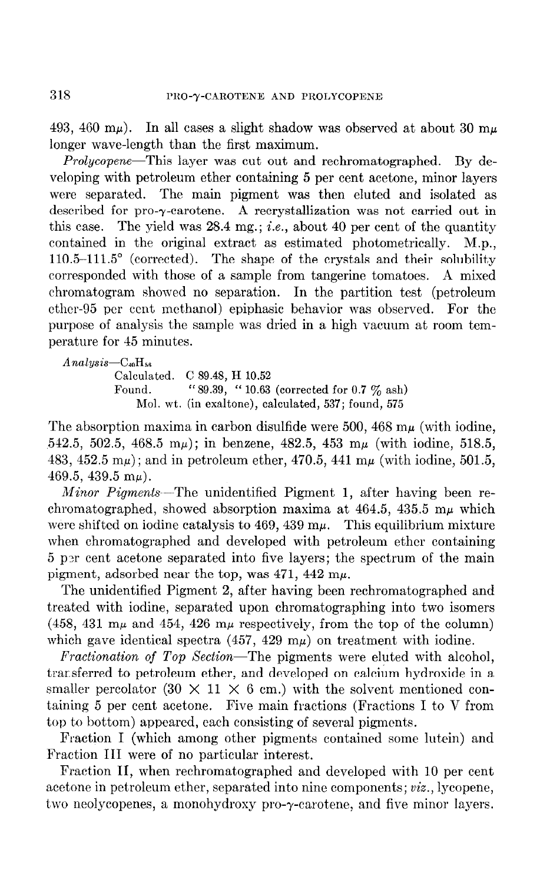493, 460 m $\mu$ ). In all cases a slight shadow was observed at about 30 m $\mu$ longer wave-length than the first maximum.

Prolycopene-This layer was cut out and rechromatographed. By developing with petroleum ether containing 5 per cent acetone, minor layers were separated. The main pigment was then eluted and isolated as described for pro- $\gamma$ -carotene. A recrystallization was not carried out in this case. The yield was 28.4 mg.; *i.e.*, about 40 per cent of the quantity contained in the original extract as estimated photometrically. M.p.,  $110.5-111.5^{\circ}$  (corrected). The shape of the crystals and their solubility corresponded with those of a sample from tangerine tomatoes. A mixed chromatogram showed no separation. In the partition test (petroleum ether-95 per cent methanol) epiphasic behavior was observed. For the purpose of analysis the sample was dried in a high vacuum at room temperature for 45 minutes.

```
Analysis-C_{40}H_{56}Calculated. C 89.48, H 10.52 
Found. ''89.39, " 10.63 (corrected for 0.7 \% ash)
    Mol. wt. (in exaltone), calculated, 537; found, 575
```
The absorption maxima in carbon disulfide were 500, 468  $m\mu$  (with iodine, 542.5, 502.5, 468.5 m $\mu$ ); in benzene, 482.5, 453 m $\mu$  (with iodine, 518.5, 483, 452.5 m $\mu$ ); and in petroleum ether, 470.5, 441 m $\mu$  (with iodine, 501.5, 469.5, 439.5 m $\mu$ ).

Minor Pigments-The unidentified Pigment 1, after having been rechromatographed, showed absorption maxima at  $464.5$ ,  $435.5$  m $\mu$  which were shifted on iodine catalysis to  $469, 439 \text{ m}\mu$ . This equilibrium mixture when chromatographed and developed with petroleum ether containing 5 p3r cent acetone separated into five layers; the spectrum of the main pigment, adsorbed near the top, was  $471, 442$  m $\mu$ .

The unidentified Pigment 2, after having been rechromatographed and treated with iodine, separated upon chromatographing into two isomers (458, 431 m $\mu$  and 454, 426 m $\mu$  respectively, from the top of the column) which gave identical spectra (457, 429 m $\mu$ ) on treatment with iodine.

Fractionation of Top Section-The pigments were eluted with alcohol, trarsferred to petroleum ether, and developed on calcium hydroxide in a smaller percolator (30  $\times$  11  $\times$  6 cm.) with the solvent mentioned containing 5 per cent acetone. Five main fractions (Fractions I to V from top to bottom) appeared, each consisting of several pigments.

Fraction I (which among other pigments contained some lutein) and Fraction III were of no particular interest.

Fraction II, when rechromatographed and developed with 10 per cent acetone in petroleum ether, separated into nine components; viz., lycopene, two neolycopenes, a monohydroxy pro-y-carotene, and five minor layers.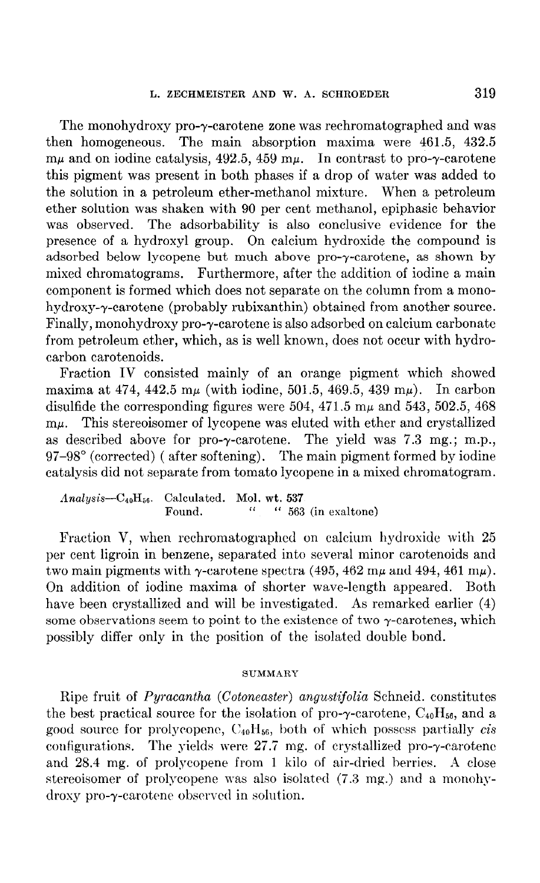The monohydroxy pro-y-carotene zone was rechromatographed and was then homogeneous. The main absorption maxima were 461.5, 432.5  $m\mu$  and on iodine catalysis, 492.5, 459  $m\mu$ . In contrast to pro- $\gamma$ -carotene this pigment was present in both phases if a drop of water was added to the solution in a petroleum ether-methanol mixture. When a petroleum ether solution was shaken with 90 per cent methanol, epiphasic behavior was observed. The adsorbability is also conclusive evidence for the presence of a hydroxyl group. On calcium hydroxide the compound is adsorbed below lycopene but much above pro- $\gamma$ -carotene, as shown by mixed chromatograms. Furthermore, after the addition of iodine a main component is formed which does not separate on the column from a monohydroxy-y-carotene (probably rubixanthin) obtained from another source. Finally, monohydroxy pro-y-carotene is also adsorbed on calcium carbonate from petroleum ether, which, as is well known, does not occur with hydrocarbon carotenoids.

Fraction IV consisted mainly of an orange pigment which showed maxima at 474, 442.5 m $\mu$  (with iodine, 501.5, 469.5, 439 m $\mu$ ). In carbon disulfide the corresponding figures were 504, 471.5  $m\mu$  and 543, 502.5, 468  $m\mu$ . This stereoisomer of lycopene was eluted with ether and crystallized as described above for pro- $\gamma$ -carotene. The yield was 7.3 mg.; m.p., 97-98" (corrected) ( after softening). The main pigment formed by iodine catalysis did not separate from tomato lycopene in a mixed chromatogram.

 $Analysis-C_{40}H_{56}$ . Calculated. Mol. wt. 537 Found.  $\frac{1}{2}$   $\frac{1}{2}$   $\frac{1}{2}$   $\frac{1}{2}$   $\frac{1}{2}$   $\frac{1}{2}$   $\frac{1}{2}$   $\frac{1}{2}$   $\frac{1}{2}$   $\frac{1}{2}$   $\frac{1}{2}$   $\frac{1}{2}$   $\frac{1}{2}$   $\frac{1}{2}$   $\frac{1}{2}$   $\frac{1}{2}$   $\frac{1}{2}$   $\frac{1}{2}$   $\frac{1}{2}$   $\frac{1}{2}$   $\frac{1}{2}$   $\frac{$ 

Fraction V, when rechromatographcd on calcium hydroxide with 25 per cent ligroin in benzene, separated into several minor carotenoids and two main pigments with  $\gamma$ -carotene spectra (495, 462 m $\mu$  and 494, 461 m $\mu$ ). On addition of iodine maxima of shorter wave-length appeared. Both have been crystallized and will be investigated. As remarked earlier (4) some observations seem to point to the existence of two  $\gamma$ -carotenes, which possibly differ only in the position of the isolated double bond.

## SUMMARY

Ripe fruit of *Pyracantha (Cotoneaster) angustifolia* Schneid. constitutes the best practical source for the isolation of pro- $\gamma$ -carotene,  $C_{40}H_{56}$ , and a good source for prolycopene,  $C_{40}H_{56}$ , both of which possess partially cis configurations. The yields were  $27.7$  mg. of crystallized pro- $\gamma$ -carotene and 28.4 mg. of prolycopene from I kilo of air-dried berries. A close stereoisomer of prolycopene was also isolated (7.3 mg.) and a monohy $d$ roxy pro- $\gamma$ -carotene observed in solution.